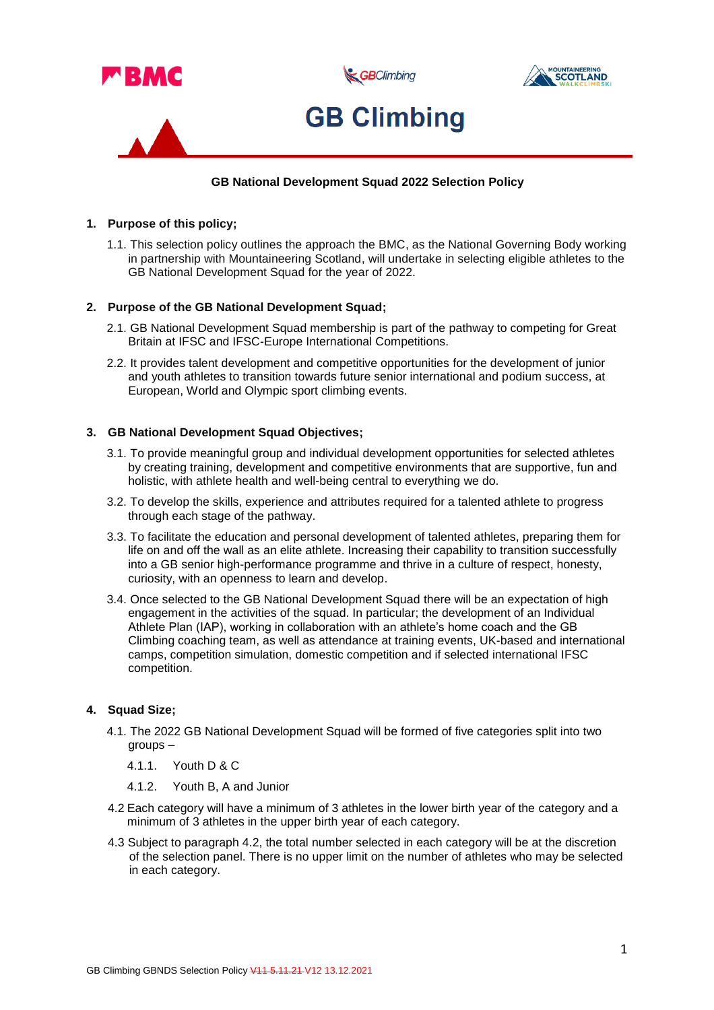

## **GB National Development Squad 2022 Selection Policy**

### **1. Purpose of this policy;**

1.1. This selection policy outlines the approach the BMC, as the National Governing Body working in partnership with Mountaineering Scotland, will undertake in selecting eligible athletes to the GB National Development Squad for the year of 2022.

### **2. Purpose of the GB National Development Squad;**

- 2.1. GB National Development Squad membership is part of the pathway to competing for Great Britain at IFSC and IFSC-Europe International Competitions.
- 2.2. It provides talent development and competitive opportunities for the development of junior and youth athletes to transition towards future senior international and podium success, at European, World and Olympic sport climbing events.

### **3. GB National Development Squad Objectives;**

- 3.1. To provide meaningful group and individual development opportunities for selected athletes by creating training, development and competitive environments that are supportive, fun and holistic, with athlete health and well-being central to everything we do.
- 3.2. To develop the skills, experience and attributes required for a talented athlete to progress through each stage of the pathway.
- 3.3. To facilitate the education and personal development of talented athletes, preparing them for life on and off the wall as an elite athlete. Increasing their capability to transition successfully into a GB senior high-performance programme and thrive in a culture of respect, honesty, curiosity, with an openness to learn and develop.
- 3.4. Once selected to the GB National Development Squad there will be an expectation of high engagement in the activities of the squad. In particular; the development of an Individual Athlete Plan (IAP), working in collaboration with an athlete's home coach and the GB Climbing coaching team, as well as attendance at training events, UK-based and international camps, competition simulation, domestic competition and if selected international IFSC competition.

### **4. Squad Size;**

- 4.1. The 2022 GB National Development Squad will be formed of five categories split into two groups –
	- 4.1.1. Youth D & C
	- 4.1.2. Youth B, A and Junior
- 4.2 Each category will have a minimum of 3 athletes in the lower birth year of the category and a minimum of 3 athletes in the upper birth year of each category.
- 4.3 Subject to paragraph 4.2, the total number selected in each category will be at the discretion of the selection panel. There is no upper limit on the number of athletes who may be selected in each category.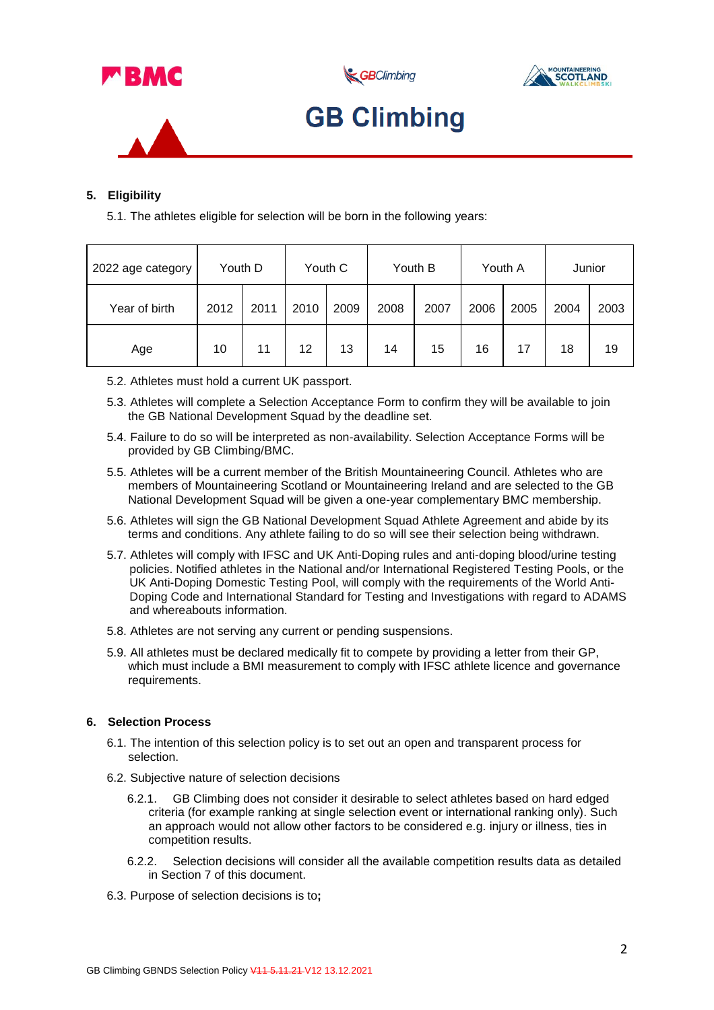

GBClimbing





# **GB Climbing**

## **5. Eligibility**

5.1. The athletes eligible for selection will be born in the following years:

| 2022 age category | Youth D |      | Youth C |      | Youth B |      | Youth A |      | Junior |      |
|-------------------|---------|------|---------|------|---------|------|---------|------|--------|------|
| Year of birth     | 2012    | 2011 | 2010    | 2009 | 2008    | 2007 | 2006    | 2005 | 2004   | 2003 |
| Age               | 10      | 11   | 12      | 13   | 14      | 15   | 16      | 17   | 18     | 19   |

- 5.2. Athletes must hold a current UK passport.
- 5.3. Athletes will complete a Selection Acceptance Form to confirm they will be available to join the GB National Development Squad by the deadline set.
- 5.4. Failure to do so will be interpreted as non-availability. Selection Acceptance Forms will be provided by GB Climbing/BMC.
- 5.5. Athletes will be a current member of the British Mountaineering Council. Athletes who are members of Mountaineering Scotland or Mountaineering Ireland and are selected to the GB National Development Squad will be given a one-year complementary BMC membership.
- 5.6. Athletes will sign the GB National Development Squad Athlete Agreement and abide by its terms and conditions. Any athlete failing to do so will see their selection being withdrawn.
- 5.7. Athletes will comply with IFSC and UK Anti-Doping rules and anti-doping blood/urine testing policies. Notified athletes in the National and/or International Registered Testing Pools, or the UK Anti-Doping Domestic Testing Pool, will comply with the requirements of the World Anti-Doping Code and International Standard for Testing and Investigations with regard to ADAMS and whereabouts information.
- 5.8. Athletes are not serving any current or pending suspensions.
- 5.9. All athletes must be declared medically fit to compete by providing a letter from their GP, which must include a BMI measurement to comply with IFSC athlete licence and governance requirements.

## **6. Selection Process**

- 6.1. The intention of this selection policy is to set out an open and transparent process for selection.
- 6.2. Subjective nature of selection decisions
	- 6.2.1. GB Climbing does not consider it desirable to select athletes based on hard edged criteria (for example ranking at single selection event or international ranking only). Such an approach would not allow other factors to be considered e.g. injury or illness, ties in competition results.
	- 6.2.2. Selection decisions will consider all the available competition results data as detailed in Section 7 of this document.
- 6.3. Purpose of selection decisions is to**;**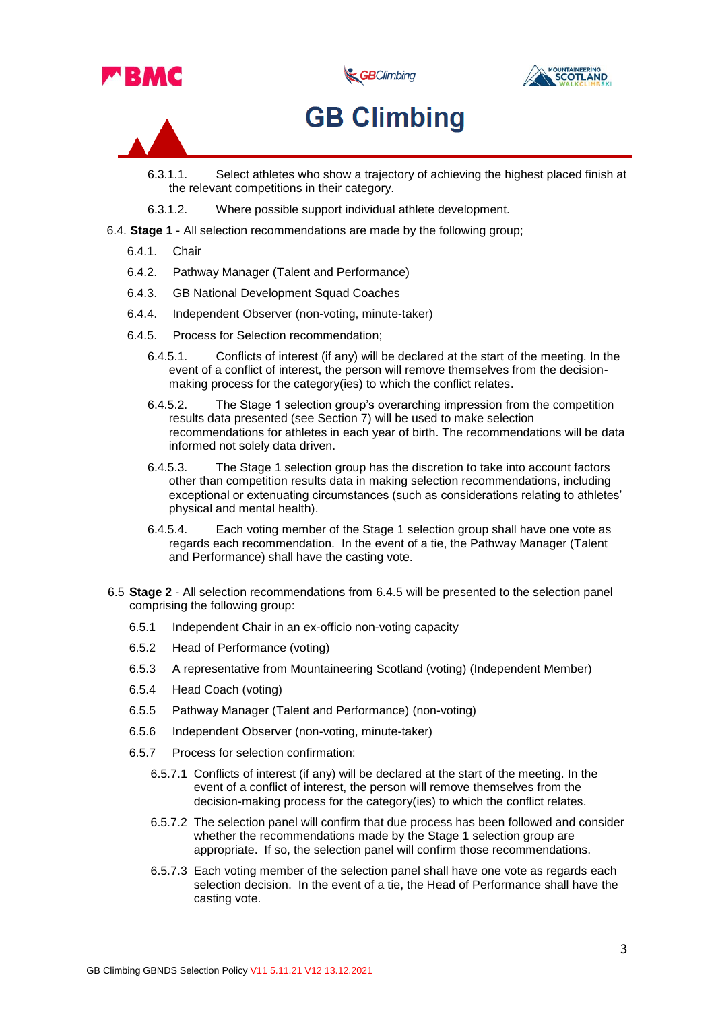

GBClimbing



# **GB Climbing**

- 6.3.1.1. Select athletes who show a trajectory of achieving the highest placed finish at the relevant competitions in their category.
- 6.3.1.2. Where possible support individual athlete development.
- 6.4. **Stage 1** All selection recommendations are made by the following group;
	- 6.4.1. Chair
	- 6.4.2. Pathway Manager (Talent and Performance)
	- 6.4.3. GB National Development Squad Coaches
	- 6.4.4. Independent Observer (non-voting, minute-taker)
	- 6.4.5. Process for Selection recommendation;
		- 6.4.5.1. Conflicts of interest (if any) will be declared at the start of the meeting. In the event of a conflict of interest, the person will remove themselves from the decisionmaking process for the category(ies) to which the conflict relates.
		- 6.4.5.2. The Stage 1 selection group's overarching impression from the competition results data presented (see Section 7) will be used to make selection recommendations for athletes in each year of birth. The recommendations will be data informed not solely data driven.
		- 6.4.5.3. The Stage 1 selection group has the discretion to take into account factors other than competition results data in making selection recommendations, including exceptional or extenuating circumstances (such as considerations relating to athletes' physical and mental health).
		- 6.4.5.4. Each voting member of the Stage 1 selection group shall have one vote as regards each recommendation. In the event of a tie, the Pathway Manager (Talent and Performance) shall have the casting vote.
- 6.5 **Stage 2** All selection recommendations from 6.4.5 will be presented to the selection panel comprising the following group:
	- 6.5.1 Independent Chair in an ex-officio non-voting capacity
	- 6.5.2 Head of Performance (voting)
	- 6.5.3 A representative from Mountaineering Scotland (voting) (Independent Member)
	- 6.5.4 Head Coach (voting)
	- 6.5.5 Pathway Manager (Talent and Performance) (non-voting)
	- 6.5.6 Independent Observer (non-voting, minute-taker)
	- 6.5.7 Process for selection confirmation:
		- 6.5.7.1 Conflicts of interest (if any) will be declared at the start of the meeting. In the event of a conflict of interest, the person will remove themselves from the decision-making process for the category(ies) to which the conflict relates.
		- 6.5.7.2 The selection panel will confirm that due process has been followed and consider whether the recommendations made by the Stage 1 selection group are appropriate. If so, the selection panel will confirm those recommendations.
		- 6.5.7.3 Each voting member of the selection panel shall have one vote as regards each selection decision. In the event of a tie, the Head of Performance shall have the casting vote.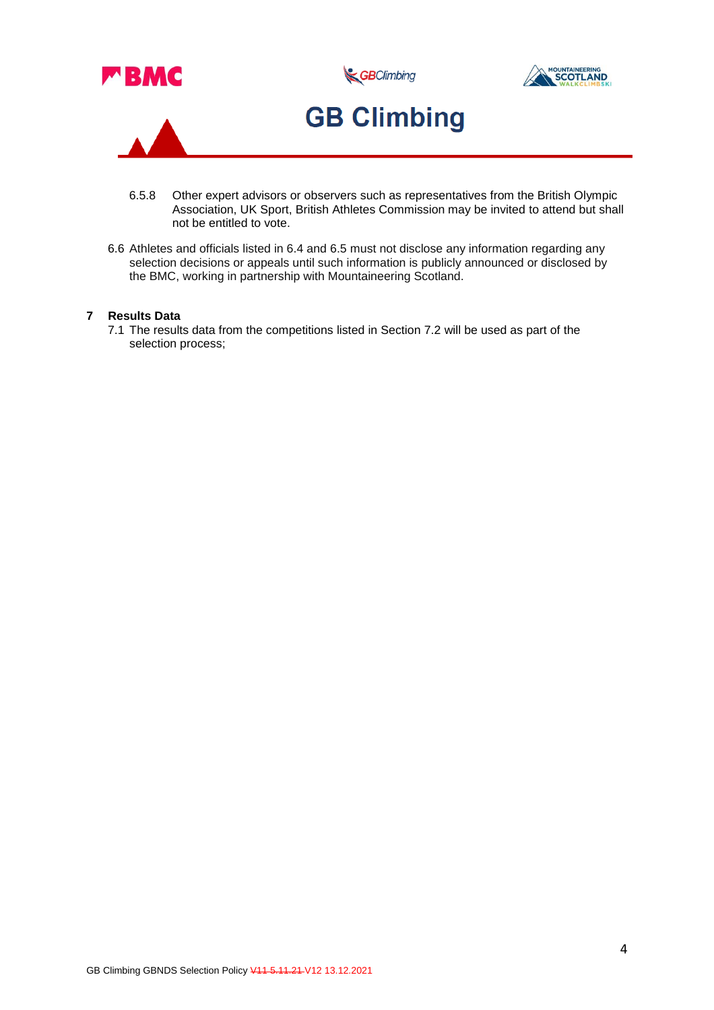

- 6.5.8 Other expert advisors or observers such as representatives from the British Olympic Association, UK Sport, British Athletes Commission may be invited to attend but shall not be entitled to vote.
- 6.6 Athletes and officials listed in 6.4 and 6.5 must not disclose any information regarding any selection decisions or appeals until such information is publicly announced or disclosed by the BMC, working in partnership with Mountaineering Scotland.

### **7 Results Data**

7.1 The results data from the competitions listed in Section 7.2 will be used as part of the selection process;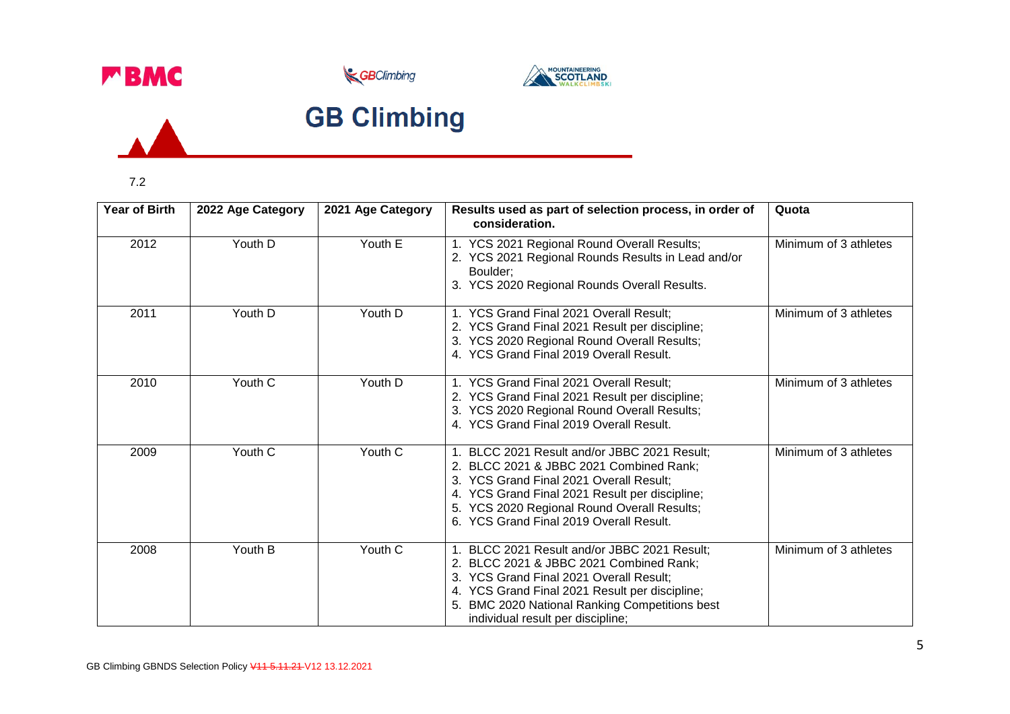





# **GB Climbing**

7.2

 $\overline{A}$ 

| <b>Year of Birth</b> | 2022 Age Category | 2021 Age Category | Results used as part of selection process, in order of<br>consideration.                                                                                                                                                                                                       | Quota                 |
|----------------------|-------------------|-------------------|--------------------------------------------------------------------------------------------------------------------------------------------------------------------------------------------------------------------------------------------------------------------------------|-----------------------|
| 2012                 | Youth D           | Youth E           | 1. YCS 2021 Regional Round Overall Results;<br>2. YCS 2021 Regional Rounds Results in Lead and/or<br>Boulder;<br>3. YCS 2020 Regional Rounds Overall Results.                                                                                                                  | Minimum of 3 athletes |
| 2011                 | Youth D           | Youth D           | 1. YCS Grand Final 2021 Overall Result:<br>2. YCS Grand Final 2021 Result per discipline;<br>3. YCS 2020 Regional Round Overall Results;<br>4. YCS Grand Final 2019 Overall Result.                                                                                            | Minimum of 3 athletes |
| 2010                 | Youth C           | Youth D           | 1. YCS Grand Final 2021 Overall Result;<br>2. YCS Grand Final 2021 Result per discipline;<br>3. YCS 2020 Regional Round Overall Results;<br>4. YCS Grand Final 2019 Overall Result.                                                                                            | Minimum of 3 athletes |
| 2009                 | Youth C           | Youth C           | 1. BLCC 2021 Result and/or JBBC 2021 Result;<br>2. BLCC 2021 & JBBC 2021 Combined Rank;<br>3. YCS Grand Final 2021 Overall Result;<br>4. YCS Grand Final 2021 Result per discipline;<br>5. YCS 2020 Regional Round Overall Results;<br>6. YCS Grand Final 2019 Overall Result. | Minimum of 3 athletes |
| 2008                 | Youth B           | Youth C           | 1. BLCC 2021 Result and/or JBBC 2021 Result;<br>2. BLCC 2021 & JBBC 2021 Combined Rank;<br>3. YCS Grand Final 2021 Overall Result;<br>4. YCS Grand Final 2021 Result per discipline;<br>5. BMC 2020 National Ranking Competitions best<br>individual result per discipline;    | Minimum of 3 athletes |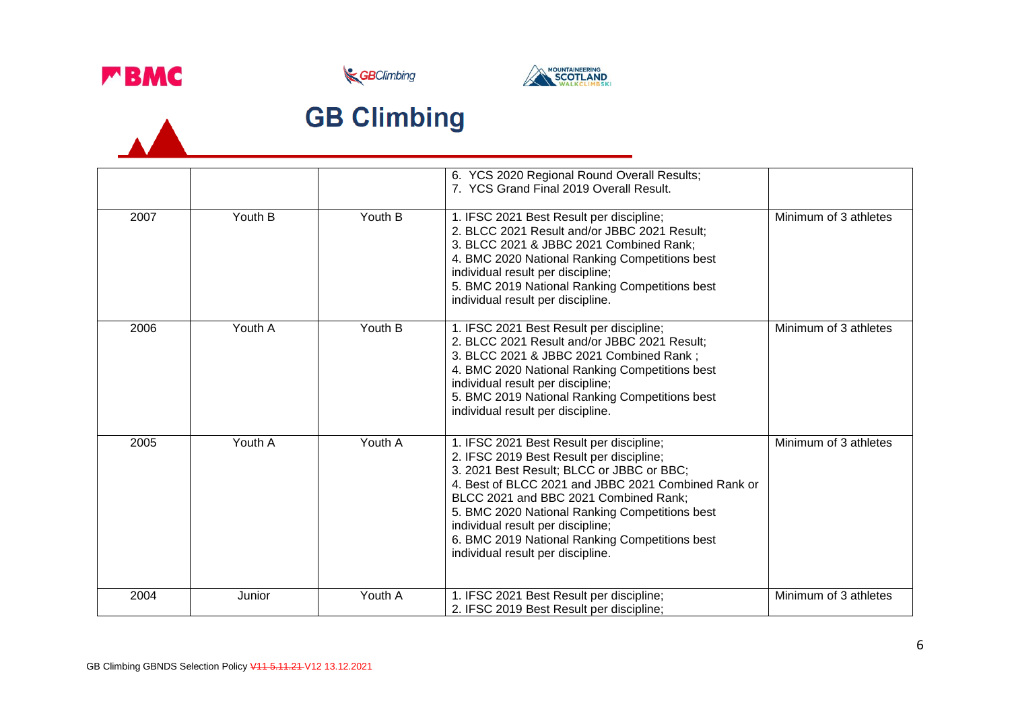

 $\overline{\mathbf{A}}$ 





# **GB Climbing**

|      |         |         | 6. YCS 2020 Regional Round Overall Results;<br>7. YCS Grand Final 2019 Overall Result.                                                                                                                                                                                                                                                                                                                          |                       |
|------|---------|---------|-----------------------------------------------------------------------------------------------------------------------------------------------------------------------------------------------------------------------------------------------------------------------------------------------------------------------------------------------------------------------------------------------------------------|-----------------------|
| 2007 | Youth B | Youth B | 1. IFSC 2021 Best Result per discipline;<br>2. BLCC 2021 Result and/or JBBC 2021 Result;<br>3. BLCC 2021 & JBBC 2021 Combined Rank;<br>4. BMC 2020 National Ranking Competitions best<br>individual result per discipline;<br>5. BMC 2019 National Ranking Competitions best<br>individual result per discipline.                                                                                               | Minimum of 3 athletes |
| 2006 | Youth A | Youth B | 1. IFSC 2021 Best Result per discipline;<br>2. BLCC 2021 Result and/or JBBC 2021 Result;<br>3. BLCC 2021 & JBBC 2021 Combined Rank;<br>4. BMC 2020 National Ranking Competitions best<br>individual result per discipline;<br>5. BMC 2019 National Ranking Competitions best<br>individual result per discipline.                                                                                               | Minimum of 3 athletes |
| 2005 | Youth A | Youth A | 1. IFSC 2021 Best Result per discipline;<br>2. IFSC 2019 Best Result per discipline;<br>3. 2021 Best Result; BLCC or JBBC or BBC;<br>4. Best of BLCC 2021 and JBBC 2021 Combined Rank or<br>BLCC 2021 and BBC 2021 Combined Rank;<br>5. BMC 2020 National Ranking Competitions best<br>individual result per discipline;<br>6. BMC 2019 National Ranking Competitions best<br>individual result per discipline. | Minimum of 3 athletes |
| 2004 | Junior  | Youth A | 1. IFSC 2021 Best Result per discipline;<br>2. IFSC 2019 Best Result per discipline;                                                                                                                                                                                                                                                                                                                            | Minimum of 3 athletes |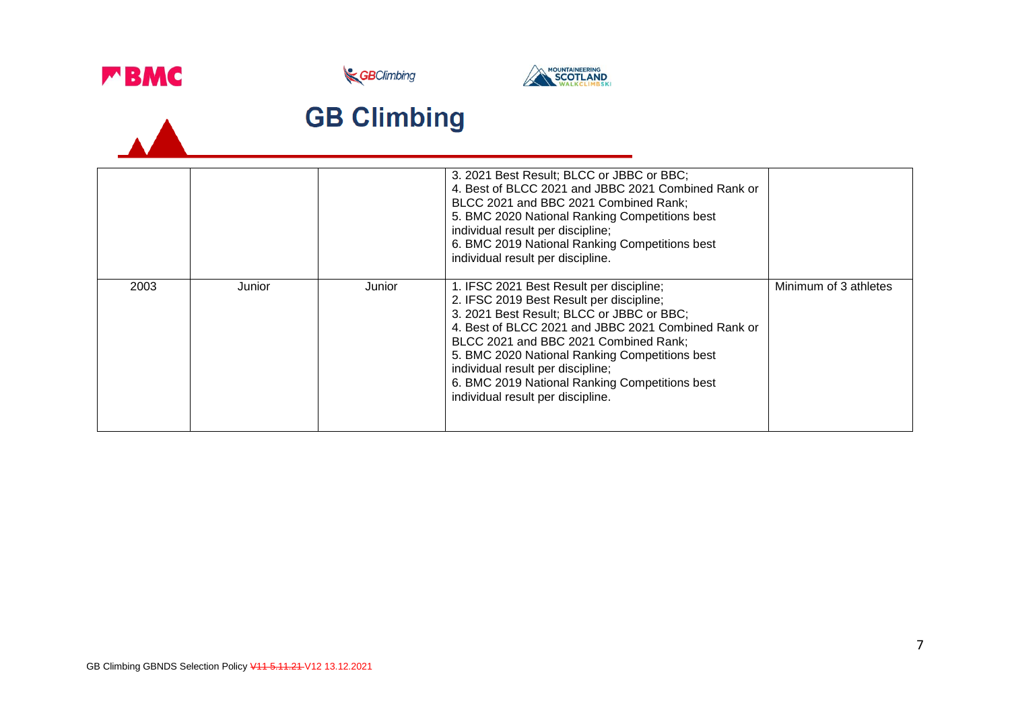

 $\overline{\phantom{a}}$ 





# **GB Climbing**

|      |        |        | 3. 2021 Best Result; BLCC or JBBC or BBC;<br>4. Best of BLCC 2021 and JBBC 2021 Combined Rank or<br>BLCC 2021 and BBC 2021 Combined Rank;<br>5. BMC 2020 National Ranking Competitions best<br>individual result per discipline;<br>6. BMC 2019 National Ranking Competitions best<br>individual result per discipline.                                                                                         |                       |
|------|--------|--------|-----------------------------------------------------------------------------------------------------------------------------------------------------------------------------------------------------------------------------------------------------------------------------------------------------------------------------------------------------------------------------------------------------------------|-----------------------|
| 2003 | Junior | Junior | 1. IFSC 2021 Best Result per discipline;<br>2. IFSC 2019 Best Result per discipline;<br>3. 2021 Best Result; BLCC or JBBC or BBC;<br>4. Best of BLCC 2021 and JBBC 2021 Combined Rank or<br>BLCC 2021 and BBC 2021 Combined Rank;<br>5. BMC 2020 National Ranking Competitions best<br>individual result per discipline;<br>6. BMC 2019 National Ranking Competitions best<br>individual result per discipline. | Minimum of 3 athletes |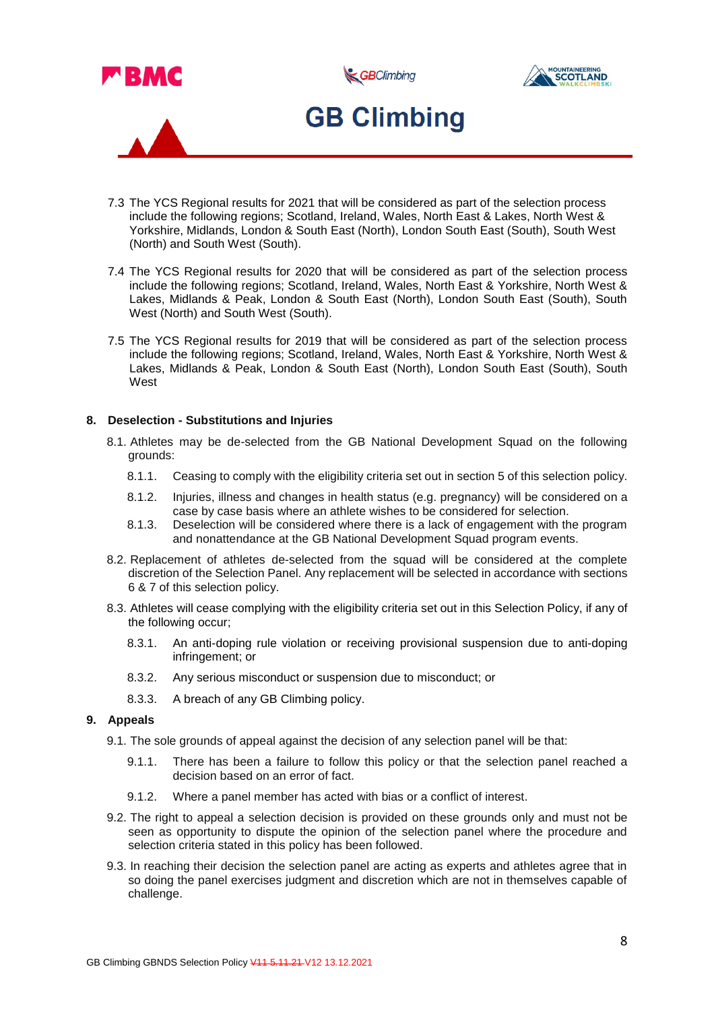

- 7.3 The YCS Regional results for 2021 that will be considered as part of the selection process include the following regions; Scotland, Ireland, Wales, North East & Lakes, North West & Yorkshire, Midlands, London & South East (North), London South East (South), South West (North) and South West (South).
- 7.4 The YCS Regional results for 2020 that will be considered as part of the selection process include the following regions; Scotland, Ireland, Wales, North East & Yorkshire, North West & Lakes, Midlands & Peak, London & South East (North), London South East (South), South West (North) and South West (South).
- 7.5 The YCS Regional results for 2019 that will be considered as part of the selection process include the following regions; Scotland, Ireland, Wales, North East & Yorkshire, North West & Lakes, Midlands & Peak, London & South East (North), London South East (South), South West

### **8. Deselection - Substitutions and Injuries**

- 8.1. Athletes may be de-selected from the GB National Development Squad on the following grounds:
	- 8.1.1. Ceasing to comply with the eligibility criteria set out in section 5 of this selection policy.
	- 8.1.2. Injuries, illness and changes in health status (e.g. pregnancy) will be considered on a case by case basis where an athlete wishes to be considered for selection.
	- 8.1.3. Deselection will be considered where there is a lack of engagement with the program and nonattendance at the GB National Development Squad program events.
- 8.2. Replacement of athletes de-selected from the squad will be considered at the complete discretion of the Selection Panel. Any replacement will be selected in accordance with sections 6 & 7 of this selection policy.
- 8.3. Athletes will cease complying with the eligibility criteria set out in this Selection Policy, if any of the following occur;
	- 8.3.1. An anti-doping rule violation or receiving provisional suspension due to anti-doping infringement; or
	- 8.3.2. Any serious misconduct or suspension due to misconduct; or
	- 8.3.3. A breach of any GB Climbing policy.

### **9. Appeals**

- 9.1. The sole grounds of appeal against the decision of any selection panel will be that:
	- 9.1.1. There has been a failure to follow this policy or that the selection panel reached a decision based on an error of fact.
	- 9.1.2. Where a panel member has acted with bias or a conflict of interest.
- 9.2. The right to appeal a selection decision is provided on these grounds only and must not be seen as opportunity to dispute the opinion of the selection panel where the procedure and selection criteria stated in this policy has been followed.
- 9.3. In reaching their decision the selection panel are acting as experts and athletes agree that in so doing the panel exercises judgment and discretion which are not in themselves capable of challenge.